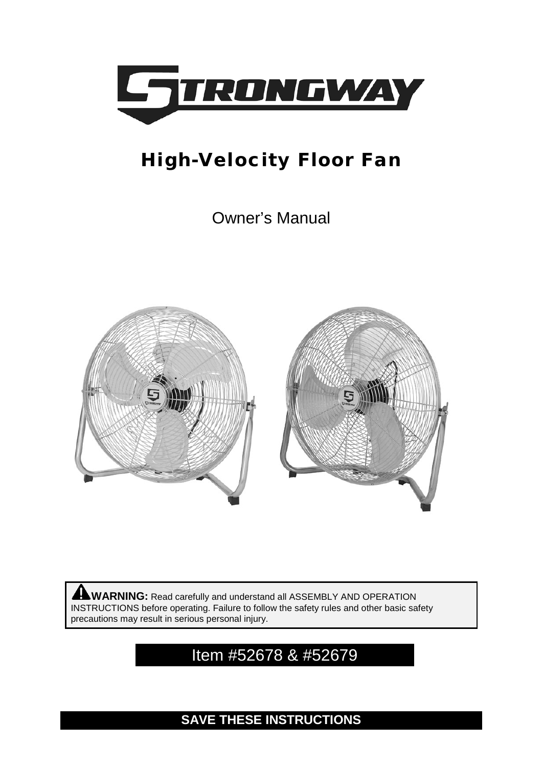

# High-Velocity Floor Fan

Owner's Manual



**WARNING:** Read carefully and understand all ASSEMBLY AND OPERATION INSTRUCTIONS before operating. Failure to follow the safety rules and other basic safety precautions may result in serious personal injury.

# Item #52678 & #52679

**SAVE THESE INSTRUCTIONS**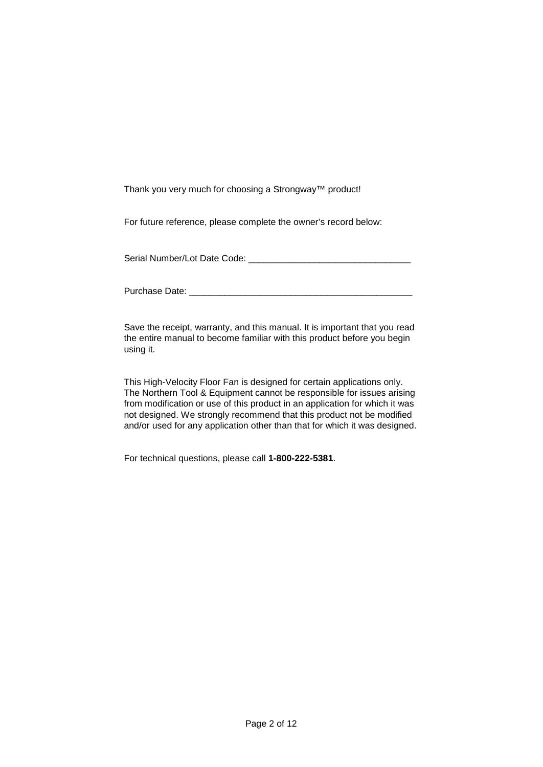Thank you very much for choosing a Strongway™ product!

For future reference, please complete the owner's record below:

Serial Number/Lot Date Code: \_\_\_\_\_\_\_\_\_\_\_\_\_\_\_\_\_\_\_\_\_\_\_\_\_\_\_\_\_\_\_\_

Purchase Date:  $\Box$ 

Save the receipt, warranty, and this manual. It is important that you read the entire manual to become familiar with this product before you begin using it.

This High-Velocity Floor Fan is designed for certain applications only. The Northern Tool & Equipment cannot be responsible for issues arising from modification or use of this product in an application for which it was not designed. We strongly recommend that this product not be modified and/or used for any application other than that for which it was designed.

For technical questions, please call **1-800-222-5381**.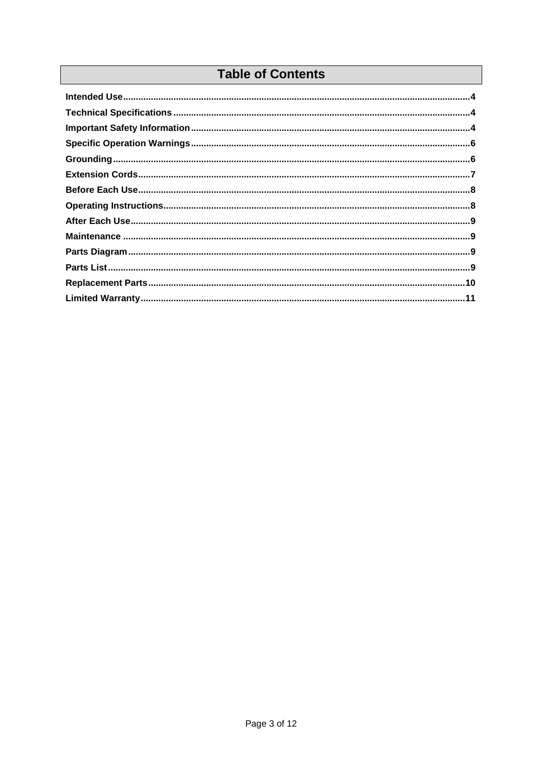# **Table of Contents**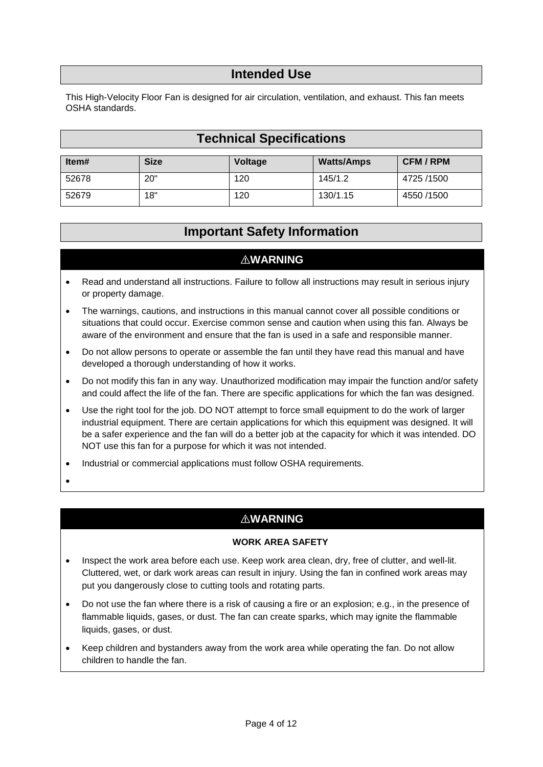#### **Intended Use**

<span id="page-3-1"></span><span id="page-3-0"></span>This High-Velocity Floor Fan is designed for air circulation, ventilation, and exhaust. This fan meets OSHA standards.

# **Technical Specifications**

<span id="page-3-2"></span>

| ltem# | <b>Size</b> | Voltage | <b>Watts/Amps</b> | <b>CFM/RPM</b> |
|-------|-------------|---------|-------------------|----------------|
| 52678 | 20"         | 120     | 145/1.2           | 4725 /1500     |
| 52679 | 18"         | 120     | 130/1.15          | 4550 /1500     |

# **Important Safety Information**

# ⚠**WARNING**

- Read and understand all instructions. Failure to follow all instructions may result in serious injury or property damage.
- The warnings, cautions, and instructions in this manual cannot cover all possible conditions or situations that could occur. Exercise common sense and caution when using this fan. Always be aware of the environment and ensure that the fan is used in a safe and responsible manner.
- Do not allow persons to operate or assemble the fan until they have read this manual and have developed a thorough understanding of how it works.
- Do not modify this fan in any way. Unauthorized modification may impair the function and/or safety and could affect the life of the fan. There are specific applications for which the fan was designed.
- Use the right tool for the job. DO NOT attempt to force small equipment to do the work of larger industrial equipment. There are certain applications for which this equipment was designed. It will be a safer experience and the fan will do a better job at the capacity for which it was intended. DO NOT use this fan for a purpose for which it was not intended.
- Industrial or commercial applications must follow OSHA requirements.
- •

# ⚠**WARNING**

#### **WORK AREA SAFETY**

- Inspect the work area before each use. Keep work area clean, dry, free of clutter, and well-lit. Cluttered, wet, or dark work areas can result in injury. Using the fan in confined work areas may put you dangerously close to cutting tools and rotating parts.
- Do not use the fan where there is a risk of causing a fire or an explosion; e.g., in the presence of flammable liquids, gases, or dust. The fan can create sparks, which may ignite the flammable liquids, gases, or dust.
- Keep children and bystanders away from the work area while operating the fan. Do not allow children to handle the fan.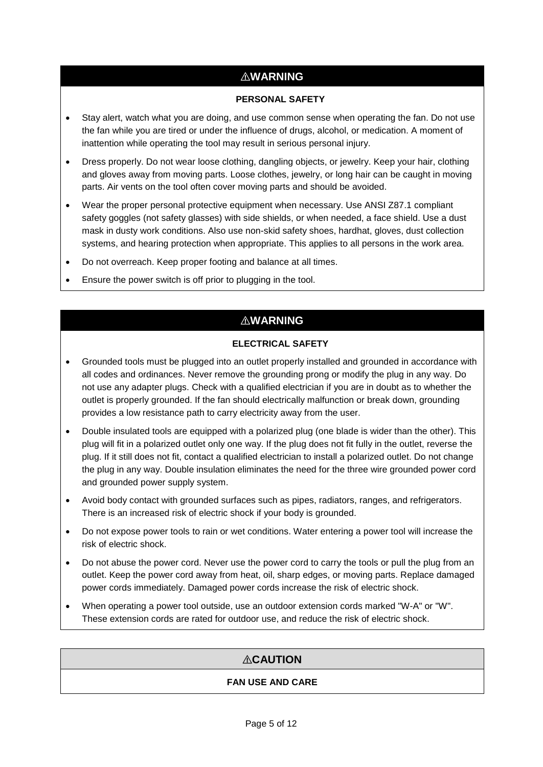# ⚠**WARNING**

#### **PERSONAL SAFETY**

- Stay alert, watch what you are doing, and use common sense when operating the fan. Do not use the fan while you are tired or under the influence of drugs, alcohol, or medication. A moment of inattention while operating the tool may result in serious personal injury.
- Dress properly. Do not wear loose clothing, dangling objects, or jewelry. Keep your hair, clothing and gloves away from moving parts. Loose clothes, jewelry, or long hair can be caught in moving parts. Air vents on the tool often cover moving parts and should be avoided.
- Wear the proper personal protective equipment when necessary. Use ANSI Z87.1 compliant safety goggles (not safety glasses) with side shields, or when needed, a face shield. Use a dust mask in dusty work conditions. Also use non-skid safety shoes, hardhat, gloves, dust collection systems, and hearing protection when appropriate. This applies to all persons in the work area.
- Do not overreach. Keep proper footing and balance at all times.
- Ensure the power switch is off prior to plugging in the tool.

# ⚠**WARNING**

#### **ELECTRICAL SAFETY**

- Grounded tools must be plugged into an outlet properly installed and grounded in accordance with all codes and ordinances. Never remove the grounding prong or modify the plug in any way. Do not use any adapter plugs. Check with a qualified electrician if you are in doubt as to whether the outlet is properly grounded. If the fan should electrically malfunction or break down, grounding provides a low resistance path to carry electricity away from the user.
- Double insulated tools are equipped with a polarized plug (one blade is wider than the other). This plug will fit in a polarized outlet only one way. If the plug does not fit fully in the outlet, reverse the plug. If it still does not fit, contact a qualified electrician to install a polarized outlet. Do not change the plug in any way. Double insulation eliminates the need for the three wire grounded power cord and grounded power supply system.
- Avoid body contact with grounded surfaces such as pipes, radiators, ranges, and refrigerators. There is an increased risk of electric shock if your body is grounded.
- Do not expose power tools to rain or wet conditions. Water entering a power tool will increase the risk of electric shock.
- Do not abuse the power cord. Never use the power cord to carry the tools or pull the plug from an outlet. Keep the power cord away from heat, oil, sharp edges, or moving parts. Replace damaged power cords immediately. Damaged power cords increase the risk of electric shock.
- When operating a power tool outside, use an outdoor extension cords marked "W-A" or "W". These extension cords are rated for outdoor use, and reduce the risk of electric shock.

# ⚠**CAUTION**

#### **FAN USE AND CARE**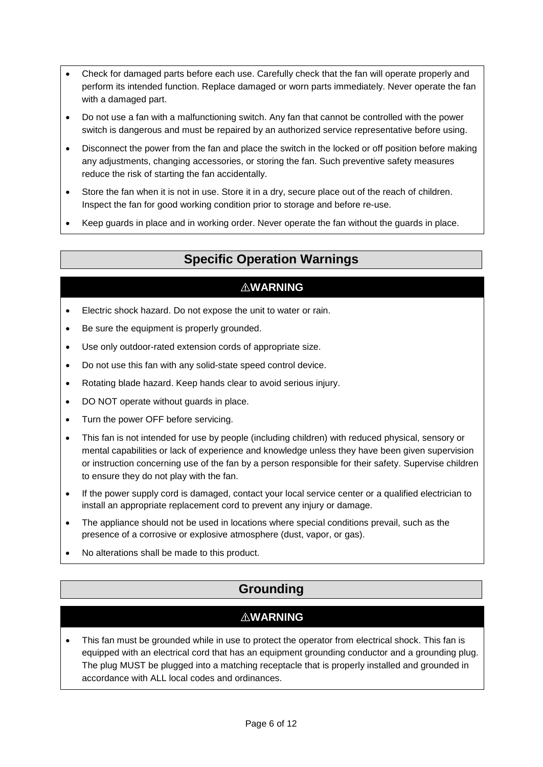- Check for damaged parts before each use. Carefully check that the fan will operate properly and perform its intended function. Replace damaged or worn parts immediately. Never operate the fan with a damaged part.
- Do not use a fan with a malfunctioning switch. Any fan that cannot be controlled with the power switch is dangerous and must be repaired by an authorized service representative before using.
- Disconnect the power from the fan and place the switch in the locked or off position before making any adjustments, changing accessories, or storing the fan. Such preventive safety measures reduce the risk of starting the fan accidentally.
- Store the fan when it is not in use. Store it in a dry, secure place out of the reach of children. Inspect the fan for good working condition prior to storage and before re-use.
- <span id="page-5-0"></span>• Keep guards in place and in working order. Never operate the fan without the guards in place.

# **Specific Operation Warnings**

# ⚠**WARNING**

- Electric shock hazard. Do not expose the unit to water or rain.
- Be sure the equipment is properly grounded.
- Use only outdoor-rated extension cords of appropriate size.
- Do not use this fan with any solid-state speed control device.
- Rotating blade hazard. Keep hands clear to avoid serious injury.
- DO NOT operate without guards in place.
- Turn the power OFF before servicing.
- This fan is not intended for use by people (including children) with reduced physical, sensory or mental capabilities or lack of experience and knowledge unless they have been given supervision or instruction concerning use of the fan by a person responsible for their safety. Supervise children to ensure they do not play with the fan.
- If the power supply cord is damaged, contact your local service center or a qualified electrician to install an appropriate replacement cord to prevent any injury or damage.
- The appliance should not be used in locations where special conditions prevail, such as the presence of a corrosive or explosive atmosphere (dust, vapor, or gas).
- <span id="page-5-1"></span>• No alterations shall be made to this product.

# **Grounding**

# ⚠**WARNING**

• This fan must be grounded while in use to protect the operator from electrical shock. This fan is equipped with an electrical cord that has an equipment grounding conductor and a grounding plug. The plug MUST be plugged into a matching receptacle that is properly installed and grounded in accordance with ALL local codes and ordinances.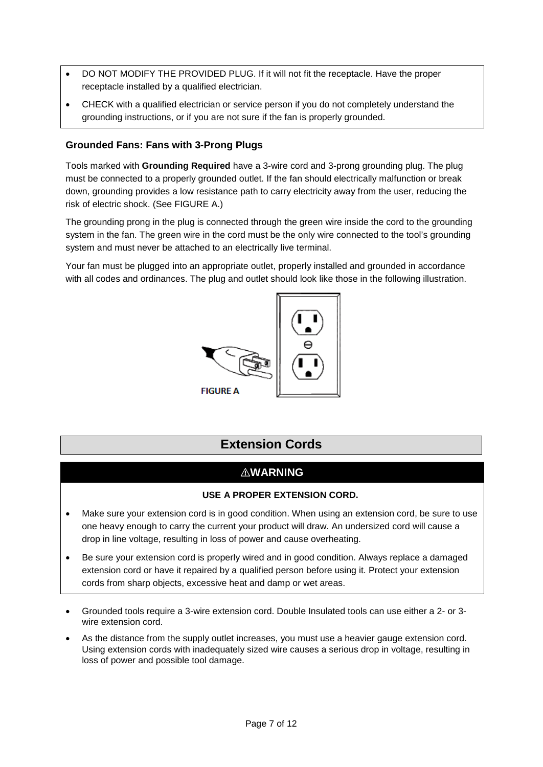- DO NOT MODIFY THE PROVIDED PLUG. If it will not fit the receptacle. Have the proper receptacle installed by a qualified electrician.
- CHECK with a qualified electrician or service person if you do not completely understand the grounding instructions, or if you are not sure if the fan is properly grounded.

#### **Grounded Fans: Fans with 3-Prong Plugs**

Tools marked with **Grounding Required** have a 3-wire cord and 3-prong grounding plug. The plug must be connected to a properly grounded outlet. If the fan should electrically malfunction or break down, grounding provides a low resistance path to carry electricity away from the user, reducing the risk of electric shock. (See FIGURE A.)

The grounding prong in the plug is connected through the green wire inside the cord to the grounding system in the fan. The green wire in the cord must be the only wire connected to the tool's grounding system and must never be attached to an electrically live terminal.

Your fan must be plugged into an appropriate outlet, properly installed and grounded in accordance with all codes and ordinances. The plug and outlet should look like those in the following illustration.



# **Extension Cords**

#### ⚠**WARNING**

#### **USE A PROPER EXTENSION CORD.**

- <span id="page-6-0"></span>• Make sure your extension cord is in good condition. When using an extension cord, be sure to use one heavy enough to carry the current your product will draw. An undersized cord will cause a drop in line voltage, resulting in loss of power and cause overheating.
- Be sure your extension cord is properly wired and in good condition. Always replace a damaged extension cord or have it repaired by a qualified person before using it. Protect your extension cords from sharp objects, excessive heat and damp or wet areas.
- Grounded tools require a 3-wire extension cord. Double Insulated tools can use either a 2- or 3 wire extension cord.
- As the distance from the supply outlet increases, you must use a heavier gauge extension cord. Using extension cords with inadequately sized wire causes a serious drop in voltage, resulting in loss of power and possible tool damage.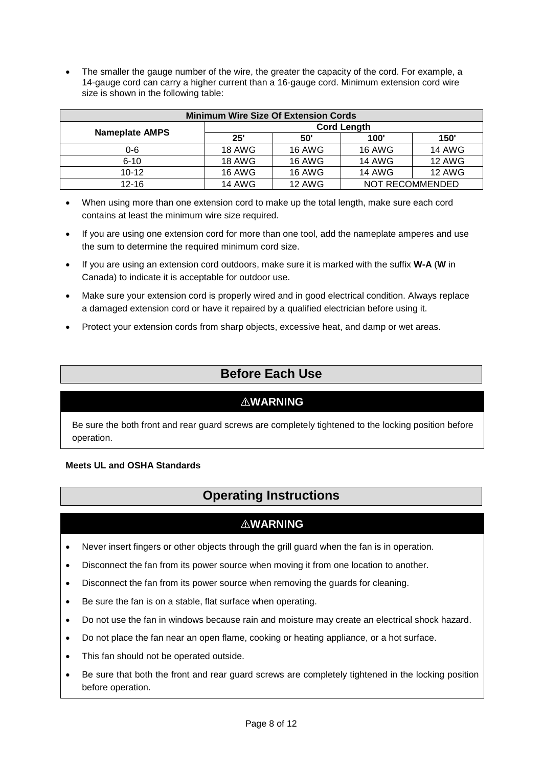• The smaller the gauge number of the wire, the greater the capacity of the cord. For example, a 14-gauge cord can carry a higher current than a 16-gauge cord. Minimum extension cord wire size is shown in the following table:

| <b>Minimum Wire Size Of Extension Cords</b> |                    |               |                 |               |  |
|---------------------------------------------|--------------------|---------------|-----------------|---------------|--|
|                                             | <b>Cord Length</b> |               |                 |               |  |
| <b>Nameplate AMPS</b>                       | 25"                | 50"           | 100'            | 150'          |  |
| $0 - 6$                                     | <b>18 AWG</b>      | <b>16 AWG</b> | <b>16 AWG</b>   | <b>14 AWG</b> |  |
| $6 - 10$                                    | 18 AWG             | <b>16 AWG</b> | <b>14 AWG</b>   | <b>12 AWG</b> |  |
| $10 - 12$                                   | <b>16 AWG</b>      | <b>16 AWG</b> | <b>14 AWG</b>   | <b>12 AWG</b> |  |
| $12 - 16$                                   | 14 AWG             | <b>12 AWG</b> | NOT RECOMMENDED |               |  |

- When using more than one extension cord to make up the total length, make sure each cord contains at least the minimum wire size required.
- If you are using one extension cord for more than one tool, add the nameplate amperes and use the sum to determine the required minimum cord size.
- If you are using an extension cord outdoors, make sure it is marked with the suffix **W-A** (**W** in Canada) to indicate it is acceptable for outdoor use.
- Make sure your extension cord is properly wired and in good electrical condition. Always replace a damaged extension cord or have it repaired by a qualified electrician before using it.
- <span id="page-7-0"></span>• Protect your extension cords from sharp objects, excessive heat, and damp or wet areas.

# **Before Each Use**

#### ⚠**WARNING**

Be sure the both front and rear guard screws are completely tightened to the locking position before operation.

#### <span id="page-7-1"></span>**Meets UL and OSHA Standards**

# **Operating Instructions**

# ⚠**WARNING**

- Never insert fingers or other objects through the grill guard when the fan is in operation.
- Disconnect the fan from its power source when moving it from one location to another.
- Disconnect the fan from its power source when removing the guards for cleaning.
- Be sure the fan is on a stable, flat surface when operating.
- Do not use the fan in windows because rain and moisture may create an electrical shock hazard.
- Do not place the fan near an open flame, cooking or heating appliance, or a hot surface.
- This fan should not be operated outside.
- Be sure that both the front and rear guard screws are completely tightened in the locking position before operation.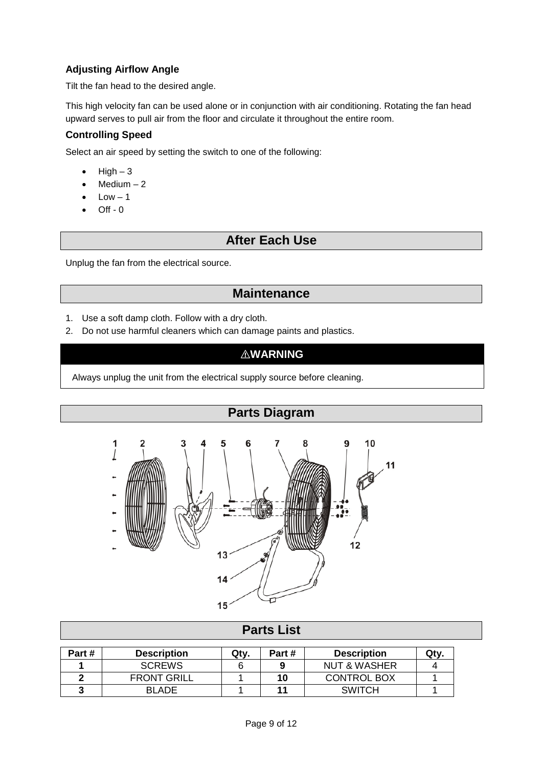### **Adjusting Airflow Angle**

Tilt the fan head to the desired angle.

This high velocity fan can be used alone or in conjunction with air conditioning. Rotating the fan head upward serves to pull air from the floor and circulate it throughout the entire room.

#### **Controlling Speed**

Select an air speed by setting the switch to one of the following:

- $\bullet$  High  $-3$
- $Median 2$
- $Low 1$
- <span id="page-8-0"></span>• Off - 0

# **After Each Use**

<span id="page-8-1"></span>Unplug the fan from the electrical source.

# **Maintenance**

- 1. Use a soft damp cloth. Follow with a dry cloth.
- 2. Do not use harmful cleaners which can damage paints and plastics.

# ⚠**WARNING**

<span id="page-8-2"></span>Always unplug the unit from the electrical supply source before cleaning.



<span id="page-8-3"></span>

| <b>Parts List</b> |                    |      |       |                         |      |  |
|-------------------|--------------------|------|-------|-------------------------|------|--|
| Part#             | <b>Description</b> | Qty. | Part# | <b>Description</b>      | Qty. |  |
|                   | <b>SCREWS</b>      |      |       | <b>NUT &amp; WASHER</b> |      |  |
|                   | <b>FRONT GRILL</b> |      | 10    | <b>CONTROL BOX</b>      |      |  |
|                   | <b>BLADE</b>       |      |       | <b>SWITCH</b>           |      |  |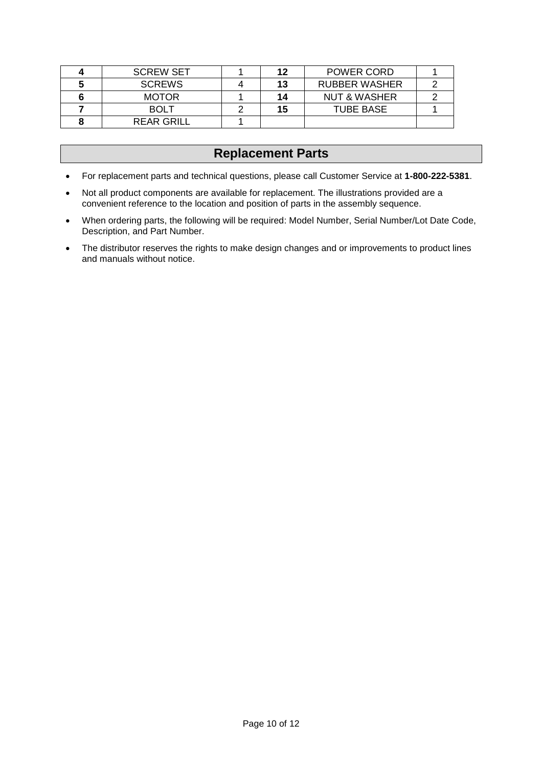| <b>SCREW SET</b>  | 12 | <b>POWER CORD</b>       |  |
|-------------------|----|-------------------------|--|
| <b>SCREWS</b>     | 13 | <b>RUBBER WASHER</b>    |  |
| <b>MOTOR</b>      | 14 | <b>NUT &amp; WASHER</b> |  |
| <b>BOLT</b>       | 15 | <b>TUBE BASE</b>        |  |
| <b>REAR GRILL</b> |    |                         |  |

# **Replacement Parts**

- <span id="page-9-0"></span>• For replacement parts and technical questions, please call Customer Service at **1-800-222-5381**.
- Not all product components are available for replacement. The illustrations provided are a convenient reference to the location and position of parts in the assembly sequence.
- When ordering parts, the following will be required: Model Number, Serial Number/Lot Date Code, Description, and Part Number.
- The distributor reserves the rights to make design changes and or improvements to product lines and manuals without notice.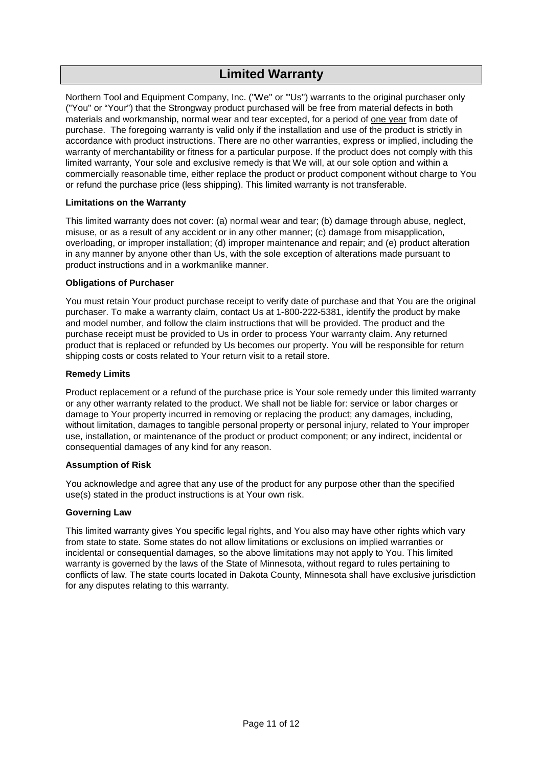# **Limited Warranty**

<span id="page-10-0"></span>Northern Tool and Equipment Company, Inc. ("We'' or '"Us'') warrants to the original purchaser only ("You'' or "Your") that the Strongway product purchased will be free from material defects in both materials and workmanship, normal wear and tear excepted, for a period of one year from date of purchase. The foregoing warranty is valid only if the installation and use of the product is strictly in accordance with product instructions. There are no other warranties, express or implied, including the warranty of merchantability or fitness for a particular purpose. If the product does not comply with this limited warranty, Your sole and exclusive remedy is that We will, at our sole option and within a commercially reasonable time, either replace the product or product component without charge to You or refund the purchase price (less shipping). This limited warranty is not transferable.

#### **Limitations on the Warranty**

This limited warranty does not cover: (a) normal wear and tear; (b) damage through abuse, neglect, misuse, or as a result of any accident or in any other manner; (c) damage from misapplication, overloading, or improper installation; (d) improper maintenance and repair; and (e) product alteration in any manner by anyone other than Us, with the sole exception of alterations made pursuant to product instructions and in a workmanlike manner.

#### **Obligations of Purchaser**

You must retain Your product purchase receipt to verify date of purchase and that You are the original purchaser. To make a warranty claim, contact Us at 1-800-222-5381, identify the product by make and model number, and follow the claim instructions that will be provided. The product and the purchase receipt must be provided to Us in order to process Your warranty claim. Any returned product that is replaced or refunded by Us becomes our property. You will be responsible for return shipping costs or costs related to Your return visit to a retail store.

#### **Remedy Limits**

Product replacement or a refund of the purchase price is Your sole remedy under this limited warranty or any other warranty related to the product. We shall not be liable for: service or labor charges or damage to Your property incurred in removing or replacing the product; any damages, including, without limitation, damages to tangible personal property or personal injury, related to Your improper use, installation, or maintenance of the product or product component; or any indirect, incidental or consequential damages of any kind for any reason.

#### **Assumption of Risk**

You acknowledge and agree that any use of the product for any purpose other than the specified use(s) stated in the product instructions is at Your own risk.

#### **Governing Law**

This limited warranty gives You specific legal rights, and You also may have other rights which vary from state to state. Some states do not allow limitations or exclusions on implied warranties or incidental or consequential damages, so the above limitations may not apply to You. This limited warranty is governed by the laws of the State of Minnesota, without regard to rules pertaining to conflicts of law. The state courts located in Dakota County, Minnesota shall have exclusive jurisdiction for any disputes relating to this warranty.